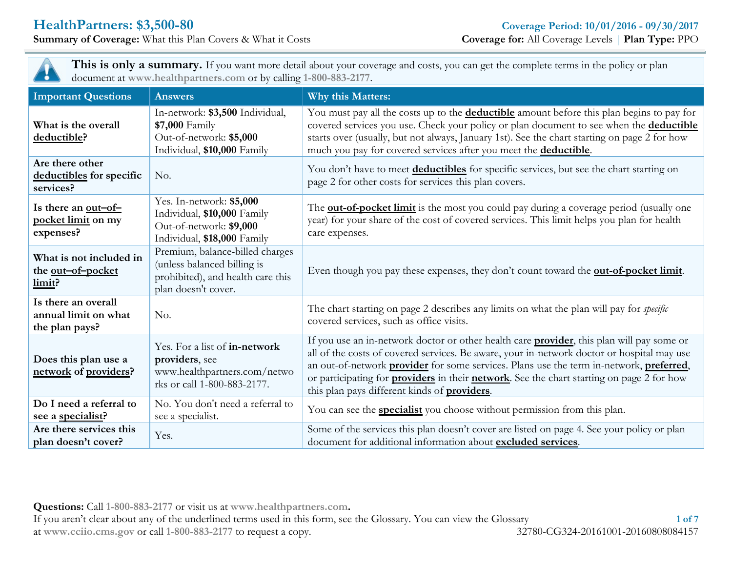**Summary** of **Coverage:** What this Plan Covers & What it Costs



**This is only a summary.** If you want more detail about your coverage and costs, you can get the complete terms in the policy or plan document at **www.healthpartners.com** or by calling **1-800-883-2177**.

| <b>Important Questions</b>                                    | <b>Answers</b>                                                                                                             | Why this Matters:                                                                                                                                                                                                                                                                                                                                                                                                                                      |
|---------------------------------------------------------------|----------------------------------------------------------------------------------------------------------------------------|--------------------------------------------------------------------------------------------------------------------------------------------------------------------------------------------------------------------------------------------------------------------------------------------------------------------------------------------------------------------------------------------------------------------------------------------------------|
| What is the overall<br>deductible?                            | In-network: \$3,500 Individual,<br>\$7,000 Family<br>Out-of-network: \$5,000<br>Individual, \$10,000 Family                | You must pay all the costs up to the <b>deductible</b> amount before this plan begins to pay for<br>covered services you use. Check your policy or plan document to see when the deductible<br>starts over (usually, but not always, January 1st). See the chart starting on page 2 for how<br>much you pay for covered services after you meet the deductible.                                                                                        |
| Are there other<br>deductibles for specific<br>services?      | No.                                                                                                                        | You don't have to meet deductibles for specific services, but see the chart starting on<br>page 2 for other costs for services this plan covers.                                                                                                                                                                                                                                                                                                       |
| Is there an out-of-<br>pocket limit on my<br>expenses?        | Yes. In-network: \$5,000<br>Individual, \$10,000 Family<br>Out-of-network: \$9,000<br>Individual, \$18,000 Family          | The <b>out-of-pocket limit</b> is the most you could pay during a coverage period (usually one<br>year) for your share of the cost of covered services. This limit helps you plan for health<br>care expenses.                                                                                                                                                                                                                                         |
| What is not included in<br>the <u>out-of-pocket</u><br>limit? | Premium, balance-billed charges<br>(unless balanced billing is<br>prohibited), and health care this<br>plan doesn't cover. | Even though you pay these expenses, they don't count toward the <b>out-of-pocket limit</b> .                                                                                                                                                                                                                                                                                                                                                           |
| Is there an overall<br>annual limit on what<br>the plan pays? | No.                                                                                                                        | The chart starting on page 2 describes any limits on what the plan will pay for <i>specific</i><br>covered services, such as office visits.                                                                                                                                                                                                                                                                                                            |
| Does this plan use a<br>network of providers?                 | Yes. For a list of in-network<br>providers, see<br>www.healthpartners.com/netwo<br>rks or call 1-800-883-2177.             | If you use an in-network doctor or other health care <b>provider</b> , this plan will pay some or<br>all of the costs of covered services. Be aware, your in-network doctor or hospital may use<br>an out-of-network provider for some services. Plans use the term in-network, preferred,<br>or participating for <b>providers</b> in their <b>network</b> . See the chart starting on page 2 for how<br>this plan pays different kinds of providers. |
| Do I need a referral to<br>see a specialist?                  | No. You don't need a referral to<br>see a specialist.                                                                      | You can see the <b>specialist</b> you choose without permission from this plan.                                                                                                                                                                                                                                                                                                                                                                        |
| Are there services this<br>plan doesn't cover?                | Yes.                                                                                                                       | Some of the services this plan doesn't cover are listed on page 4. See your policy or plan<br>document for additional information about excluded services.                                                                                                                                                                                                                                                                                             |

**Questions:** Call **1-800-883-2177** or visit us at **www.healthpartners.com.**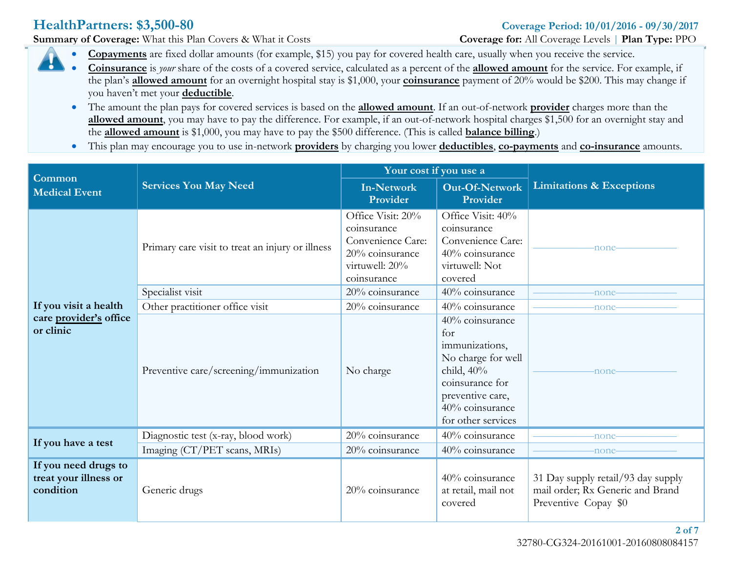**Summary** of Coverage: What this Plan Covers & What it Costs **Coverage Coverage** for: All Coverage Levels | **Plan Type:** PPO

- **Copayments** are fixed dollar amounts (for example, \$15) you pay for covered health care, usually when you receive the service.
- **Coinsurance** is *your* share of the costs of a covered service, calculated as a percent of the **allowed amount** for the service. For example, if the plan's **allowed amount** for an overnight hospital stay is \$1,000, your **coinsurance** payment of 20% would be \$200. This may change if you haven't met your **deductible**.
	- The amount the plan pays for covered services is based on the **allowed amount**. If an out-of-network **provider** charges more than the **allowed amount**, you may have to pay the difference. For example, if an out-of-network hospital charges \$1,500 for an overnight stay and the **allowed amount** is \$1,000, you may have to pay the \$500 difference. (This is called **balance billing**.)
	- This plan may encourage you to use in-network **providers** by charging you lower **deductibles**, **co-payments** and **co-insurance** amounts.

| Common                                                     |                                                  | Your cost if you use a                                                                                                                                                                                                       |                                                                                                                                                                 |                                                                                                |
|------------------------------------------------------------|--------------------------------------------------|------------------------------------------------------------------------------------------------------------------------------------------------------------------------------------------------------------------------------|-----------------------------------------------------------------------------------------------------------------------------------------------------------------|------------------------------------------------------------------------------------------------|
| <b>Medical Event</b>                                       | <b>Services You May Need</b>                     | <b>In-Network</b><br>Provider                                                                                                                                                                                                | <b>Out-Of-Network</b><br>Provider                                                                                                                               | <b>Limitations &amp; Exceptions</b>                                                            |
|                                                            | Primary care visit to treat an injury or illness | Office Visit: 20%<br>Office Visit: 40%<br>coinsurance<br>coinsurance<br>Convenience Care:<br>Convenience Care:<br>-none-<br>20% coinsurance<br>40% coinsurance<br>virtuwell: Not<br>virtuwell: 20%<br>covered<br>coinsurance |                                                                                                                                                                 |                                                                                                |
|                                                            | Specialist visit                                 | 20% coinsurance                                                                                                                                                                                                              | 40% coinsurance                                                                                                                                                 | -none-                                                                                         |
| If you visit a health                                      | Other practitioner office visit                  | 20% coinsurance                                                                                                                                                                                                              | 40% coinsurance                                                                                                                                                 | -none-                                                                                         |
| care provider's office<br>or clinic                        | Preventive care/screening/immunization           | No charge                                                                                                                                                                                                                    | 40% coinsurance<br>for<br>immunizations,<br>No charge for well<br>child, $40\%$<br>coinsurance for<br>preventive care,<br>40% coinsurance<br>for other services | -none-                                                                                         |
|                                                            | Diagnostic test (x-ray, blood work)              | 20% coinsurance                                                                                                                                                                                                              | 40% coinsurance                                                                                                                                                 | -none-                                                                                         |
| If you have a test                                         | Imaging (CT/PET scans, MRIs)                     | 20% coinsurance                                                                                                                                                                                                              | 40% coinsurance                                                                                                                                                 | -none-                                                                                         |
| If you need drugs to<br>treat your illness or<br>condition | Generic drugs                                    | 20% coinsurance                                                                                                                                                                                                              | 40% coinsurance<br>at retail, mail not<br>covered                                                                                                               | 31 Day supply retail/93 day supply<br>mail order; Rx Generic and Brand<br>Preventive Copay \$0 |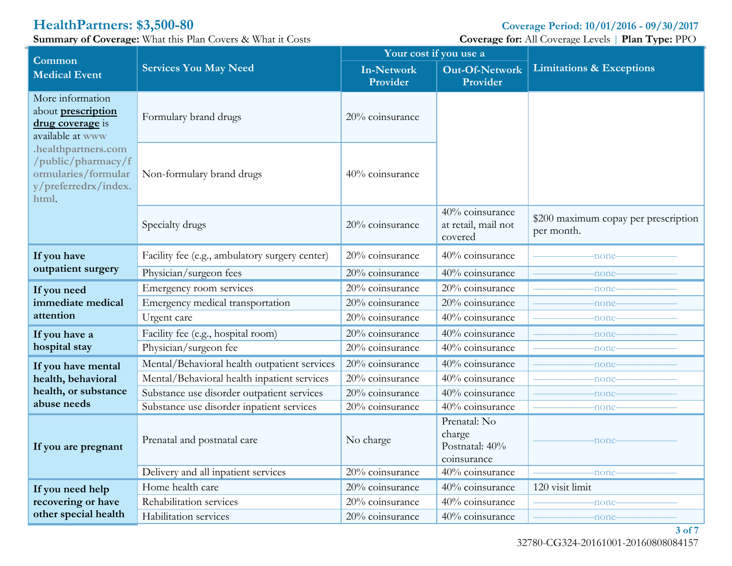**HealthPartners: \$3,500-80 Coverage Period: 10/01/2016 - 09/30/2017**<br> **Summary of Coverage:** What this Plan Covers & What it Costs **Coverage Coverage** for: All Coverage Levels | Plan Type: PPO **Summary** of **Coverage:** What this Plan Covers & What it Costs

| $\lim_{\omega \to 0}$ or coverage. What the radii covers $\alpha$ what it costs                   |                                                | Your cost if you use a        |                                                         | $\frac{1}{2}$                                      |
|---------------------------------------------------------------------------------------------------|------------------------------------------------|-------------------------------|---------------------------------------------------------|----------------------------------------------------|
| Common<br><b>Medical Event</b>                                                                    | <b>Services You May Need</b>                   | <b>In-Network</b><br>Provider | Out-Of-Network<br>Provider                              | <b>Limitations &amp; Exceptions</b>                |
| More information<br>about prescription<br>drug coverage is<br>available at www                    | Formulary brand drugs                          | 20% coinsurance               |                                                         |                                                    |
| .healthpartners.com<br>/public/pharmacy/f<br>ormularies/formular<br>y/preferredrx/index.<br>html. | Non-formulary brand drugs                      | 40% coinsurance               |                                                         |                                                    |
|                                                                                                   | Specialty drugs                                | 20% coinsurance               | 40% coinsurance<br>at retail, mail not<br>covered       | \$200 maximum copay per prescription<br>per month. |
| If you have                                                                                       | Facility fee (e.g., ambulatory surgery center) | 20% coinsurance               | 40% coinsurance                                         | -none-                                             |
| outpatient surgery                                                                                | Physician/surgeon fees                         | 20% coinsurance               | 40% coinsurance                                         | -none                                              |
| If you need                                                                                       | Emergency room services                        | 20% coinsurance               | 20% coinsurance                                         | -none                                              |
| immediate medical                                                                                 | Emergency medical transportation               | 20% coinsurance               | 20% coinsurance                                         | -none                                              |
| attention                                                                                         | Urgent care                                    | 20% coinsurance               | 40% coinsurance                                         | -none                                              |
| If you have a                                                                                     | Facility fee (e.g., hospital room)             | 20% coinsurance               | 40% coinsurance                                         | -none                                              |
| hospital stay                                                                                     | Physician/surgeon fee                          | 20% coinsurance               | 40% coinsurance                                         | -none                                              |
| If you have mental                                                                                | Mental/Behavioral health outpatient services   | 20% coinsurance               | 40% coinsurance                                         | -none                                              |
| health, behavioral                                                                                | Mental/Behavioral health inpatient services    | 20% coinsurance               | 40% coinsurance                                         | -none                                              |
| health, or substance                                                                              | Substance use disorder outpatient services     | 20% coinsurance               | 40% coinsurance                                         | -none                                              |
| abuse needs                                                                                       | Substance use disorder inpatient services      | 20% coinsurance               | 40% coinsurance                                         | -none                                              |
| If you are pregnant                                                                               | Prenatal and postnatal care                    | No charge                     | Prenatal: No<br>charge<br>Postnatal: 40%<br>coinsurance | none                                               |
|                                                                                                   | Delivery and all inpatient services            | 20% coinsurance               | 40% coinsurance                                         | -none                                              |
| If you need help                                                                                  | Home health care                               | 20% coinsurance               | 40% coinsurance                                         | 120 visit limit                                    |
| recovering or have                                                                                | Rehabilitation services                        | 20% coinsurance               | 40% coinsurance                                         | -none                                              |
| other special health                                                                              | Habilitation services                          | 20% coinsurance               | 40% coinsurance                                         | -none-                                             |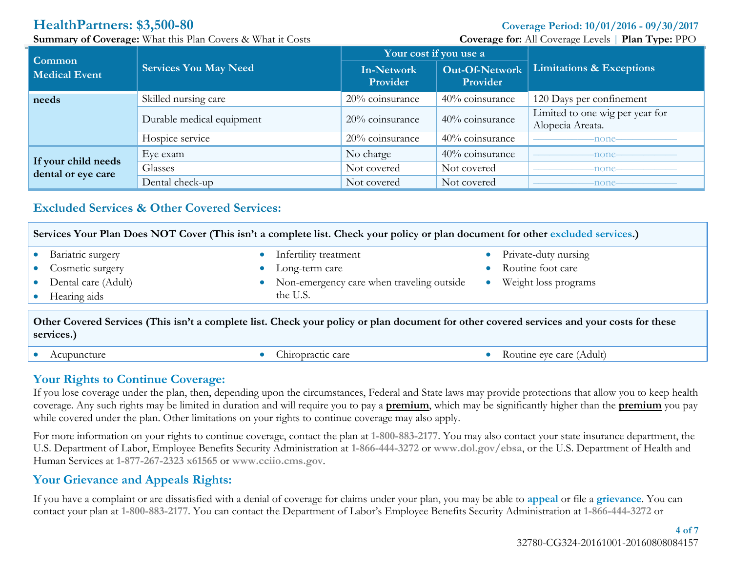**Summary** of Coverage: What this Plan Covers & What it Costs **Coverage Coverage** for: All Coverage Levels | **Plan Type:** PPO

| Common                                    | <b>Services You May Need</b> | Your cost if you use a        |                            |                                                     |
|-------------------------------------------|------------------------------|-------------------------------|----------------------------|-----------------------------------------------------|
| <b>Medical Event</b>                      |                              | <b>In-Network</b><br>Provider | Out-Of-Network<br>Provider | <b>Limitations &amp; Exceptions</b>                 |
| needs                                     | Skilled nursing care         | 20% coinsurance               | 40% coinsurance            | 120 Days per confinement                            |
|                                           | Durable medical equipment    | $20\%$ coinsurance            | 40% coinsurance            | Limited to one wig per year for<br>Alopecia Areata. |
|                                           | Hospice service              | 20% coinsurance               | 40% coinsurance            | -none-                                              |
|                                           | Eye exam                     | No charge                     | 40% coinsurance            | -none-                                              |
| If your child needs<br>dental or eye care | Glasses                      | Not covered                   | Not covered                | -none-                                              |
|                                           | Dental check-up              | Not covered                   | Not covered                | -none-                                              |

## <span id="page-3-0"></span>**Excluded Services & Other Covered Services:**

| Services Your Plan Does NOT Cover (This isn't a complete list. Check your policy or plan document for other excluded services.)                          |                                           |                      |  |  |
|----------------------------------------------------------------------------------------------------------------------------------------------------------|-------------------------------------------|----------------------|--|--|
| Bariatric surgery                                                                                                                                        | Infertility treatment                     | Private-duty nursing |  |  |
| Cosmetic surgery                                                                                                                                         | Long-term care                            | Routine foot care    |  |  |
| Dental care (Adult)                                                                                                                                      | Non-emergency care when traveling outside | Weight loss programs |  |  |
| Hearing aids                                                                                                                                             | the U.S.                                  |                      |  |  |
| Other Covered Services (This isn't a complete list. Check your policy or plan document for other covered services and your costs for these<br>services.) |                                           |                      |  |  |

Acupuncture Chiropractic care Chiropractic care Chiropractic care Routine eye care (Adult)

### **Your Rights to Continue Coverage:**

If you lose coverage under the plan, then, depending upon the circumstances, Federal and State laws may provide protections that allow you to keep health coverage. Any such rights may be limited in duration and will require you to pay a **premium**, which may be significantly higher than the **premium** you pay while covered under the plan. Other limitations on your rights to continue coverage may also apply.

For more information on your rights to continue coverage, contact the plan at **1-800-883-2177**. You may also contact your state insurance department, the U.S. Department of Labor, Employee Benefits Security Administration at **1-866-444-3272** or **www.dol.gov/ebsa**, or the U.S. Department of Health and Human Services at **1-877-267-2323 x61565** or **www.cciio.cms.gov**.

## **Your Grievance and Appeals Rights:**

If you have a complaint or are dissatisfied with a denial of coverage for claims under your plan, you may be able to **appeal** or file a **grievance**. You can contact your plan at **1-800-883-2177**. You can contact the Department of Labor's Employee Benefits Security Administration at **1-866-444-3272** or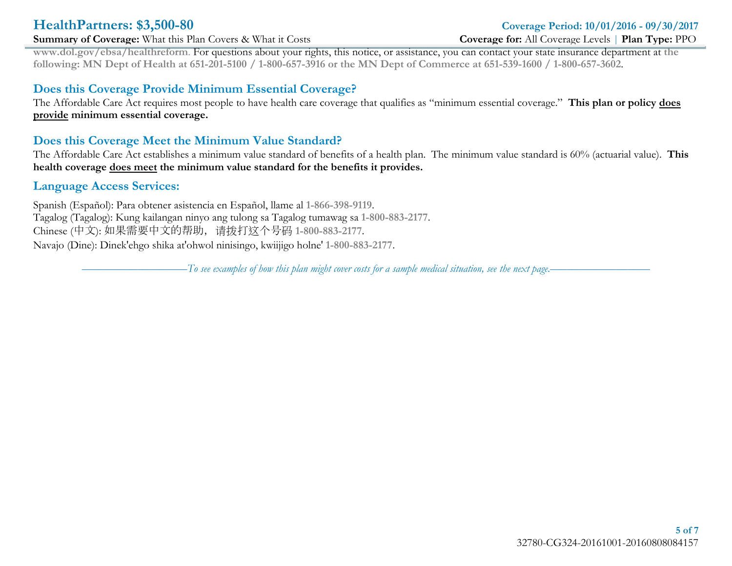### **Summary** of Coverage: What this Plan Covers & What it Costs **Coverage Coverage** for: All Coverage Levels | **Plan Type:** PPO

# **HealthPartners: \$3,500-80 Coverage Period: 10/01/2016 - 09/30/2017**

**www.dol.gov/ebsa/healthreform**. For questions about your rights, this notice, or assistance, you can contact your state insurance department at **the** following: MN Dept of Health at 651-201-5100 / 1-800-657-3916 or the MN Dept of Commerce at 651-539-1600 / 1-800-657-3602.

### **Does this Coverage Provide Minimum Essential Coverage?**

The Affordable Care Act requires most people to have health care coverage that qualifies as "minimum essential coverage." **This plan or policy does provide minimum essential coverage.** 

### **Does this Coverage Meet the Minimum Value Standard?**

The Affordable Care Act establishes a minimum value standard of benefits of a health plan. The minimum value standard is 60% (actuarial value). **This health coverage does meet the minimum value standard for the benefits it provides.**

### **Language Access Services:**

Spanish (Español): Para obtener asistencia en Español, llame al **1-866-398-9119**. Tagalog (Tagalog): Kung kailangan ninyo ang tulong sa Tagalog tumawag sa **1-800-883-2177**. Chinese (中文): 如果需要中文的帮助,请拨打这个号码 **1-800-883-2177**. Navajo (Dine): Dinek'ehgo shika at'ohwol ninisingo, kwiijigo holne' **1-800-883-2177**.

 $- T$ o see examples of how this plan might cover costs for a sample medical situation, see the next page.–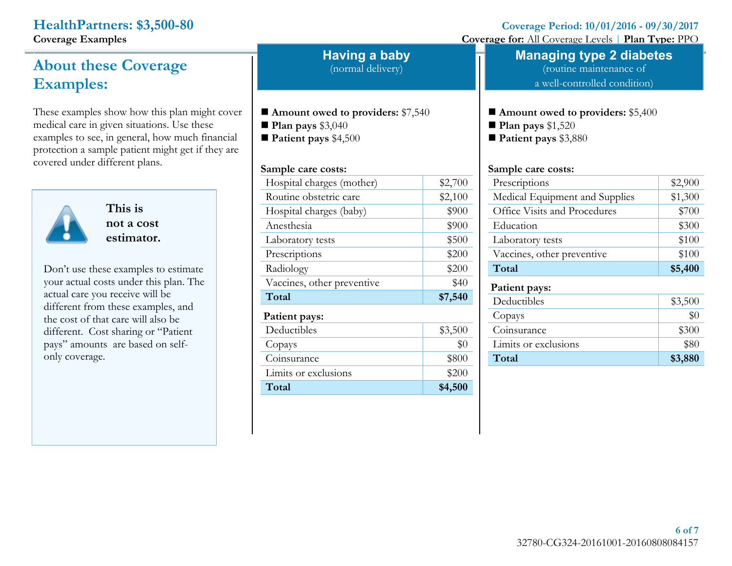.

# **About these Coverage Examples:**

These examples show how this plan might cover medical care in given situations. Use these examples to see, in general, how much financial protection a sample patient might get if they are covered under different plans.



**This is not a cost estimator.**

Don't use these examples to estimate your actual costs under this plan. The actual care you receive will be different from these examples, and the cost of that care will also be different. Cost sharing or "Patient pays" amounts are based on selfonly coverage.

**Having a baby**

(normal delivery)

- **Amount owed to providers:** \$7,540
- **Plan pays** \$3,040
- **Patient pays** \$4,500

### **Sample care costs:**

| Hospital charges (mother)  | \$2,700 |
|----------------------------|---------|
| Routine obstetric care     | \$2,100 |
| Hospital charges (baby)    | \$900   |
| Anesthesia                 | \$900   |
| Laboratory tests           | \$500   |
| Prescriptions              | \$200   |
| Radiology                  | \$200   |
| Vaccines, other preventive | \$40    |
| Total                      | \$7,540 |
|                            |         |
| Patient pays:              |         |
| Deductibles                | \$3,500 |
| Copays                     | \$0     |
| Coinsurance                | \$800   |
| Limits or exclusions       | \$200   |

**HealthPartners:** \$3,500-80<br> **Coverage Period:**  $10/01/2016 - 09/30/2017$ <br> **Coverage Coverage Coverage Coverage Period:**  $10/01/2016 - 09/30/2017$ 

**Coverage** for: All Coverage Levels | **Plan Type:** PPO

# **Managing type 2 diabetes**

(routine maintenance of a well-controlled condition)

**Amount owed to providers:** \$5,400

**Plan pays** \$1,520

**Patient pays** \$3,880

### **Sample care costs:**

| Prescriptions                  | \$2,900 |
|--------------------------------|---------|
| Medical Equipment and Supplies | \$1,300 |
| Office Visits and Procedures   | \$700   |
| Education                      | \$300   |
| Laboratory tests               | \$100   |
| Vaccines, other preventive     | \$100   |
| Total                          | \$5,400 |
| Patient pays:                  |         |
| Deductibles                    | \$3,500 |
| Copays                         | $\$0$   |
| Coinsurance                    | \$300   |
| Limits or exclusions           | \$80    |
| Total                          | \$3,880 |